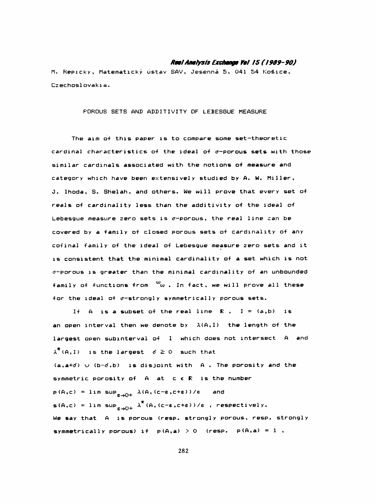## Real Analysis Exchange Yol 15 (1989-90)

 M. Repicky, Matematický ústav SAV , Jesenná 5, 041 54 Koěice, Czechosl ovaki a.

POROUS SETS AND ADDITIVITY OF LEBESGUE MEASURE

 The aim of this paper is to compare some set-theoretic cardinal characteristics of the ideal of  $\sigma$ -porous sets with those similar cardinals associated with the notions of measure and category which have been extensively studied by A. W. Miller, J. Ihoda, S. Shelah, and others. We will prove that every set of reals of cardinality less than the additivity of the ideal of Lebesque measure zero sets is  $\sigma$ -porous, the real line can be covered by a family of closed porous sets of cardinality of any cofinal family of the ideal of Lebesgue measure zero sets and it is consistent that the minimal cardinality of a set which is not  $\sigma$ -porous is greater than the minimal cardinality of an unbounded family of functions from  $\omega$  . In fact, we will prove all these for the ideal of  $\sigma$ -strongly symmetrically porous sets.

If A is a subset of the real line  $R$ ,  $I = (a,b)$  is an open interval then we denote by  $\lambda(A, I)$  the length of the largest open subinterval of I which does not intersect A and  $\lambda^{\uparrow}$  (A, I) is the largest  $6 \ge 0$  such that  $(a, a+d)$   $\cup$   $(b-d, b)$  is disjoint with A. The porosity and the symmetric porosity of A at c € R is the number  $p(A, c) = \limsup_{\varepsilon \to 0+} \lambda(A, (c-\varepsilon, c+\varepsilon)) / \varepsilon$  and  $s(A, c) = \limsup_{\varepsilon \to 0+} \ \lambda^*(A, (c-\varepsilon, c+\varepsilon))/\varepsilon$  , respectively. We say that A is porous (resp. strongly porous, resp. strongly symmetrically porous) if  $p(A,a) > 0$  (resp.  $p(A,a) = 1$ ,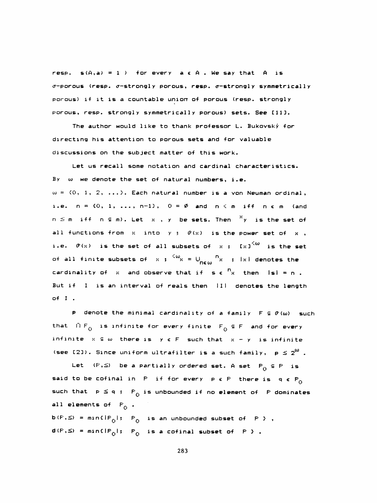resp.  $s(A,a) = 1$  ) for every  $a \in A$  . We say that  $A$  is  $\sigma$ -porous (resp.  $\sigma$ -strongly porous, resp.  $\sigma$ -strongly symmetrically porous) if it is a countable union of porous (resp. strongly porous, resp. strongly symmetrically porous) sets. See [11].

The author would like to thank professor L. Bukovský for directing his attention to porous sets and for valuable discussions on the subject matter of this work.

Let us recall some notation and cardinal characteristics. By  $\omega$  we denote the set of natural numbers, i.e.  $\omega = \{0, 1, 2, ... \}$ . Each natural number is a von Neuman ordinal, i.e.  $n = \{0, 1, \ldots, n-1\}$ ,  $0 = \emptyset$  and  $n \leq m$  iff  $n \in m$  (and  $n \leq m$  iff  $n \in m$ ). Let  $x$  ,  $y$  be sets. Then  $\frac{x}{y}$  is the set of all functions from  $x$  into  $y$  ;  $\theta'(x)$  is the power set of  $x$ , i.e.  $\vartheta(x)$  is the set of all subsets of  $x$  ;  $[x]^{<\omega}$  is the set of all finite subsets of  $x$  ;  $\frac{1}{x}$   $\frac{1}{x}$   $\frac{1}{x}$   $\frac{1}{x}$   $\frac{1}{x}$  denotes the cardinality of x and observe that if  $s \in \binom{n}{x}$  then  $|s| = n$ . But if I is an interval of reals then III denotes the length of I .

P denote the minimal cardinality of a family  $F \subseteq \mathcal{P}(\omega)$  such that  $IP_{\Omega}$  is infinite for every finite  $F_{\Omega} \subseteq F$  and for every infinite  $x \in \omega$  there is  $y \in F$  such that  $x - y$  is infinite (see [2]). Since uniform ultrafilter is a such family,  $p \leq 2^{w}$ .

Let  $(P, \leq)$  be a partially ordered set. A set  $P_0 \subseteq P$  is said to be cofinal in P if for every  $p \in P$  there is  $q \in P_0$ such that  $p \le q$  ;  $P^{\prime}_{0}$  is unbounded if no element of  $P$  dominates all elements of  $F^{\alpha}$ .

 $b(F, \leq) = min \{ |F_0|; |P_0| \text{ is an unbounded subset of } P \}$ ,  $d(F,S) = min \{ |P_0|; P_0$  is a cofinal subset of P  $\}$  .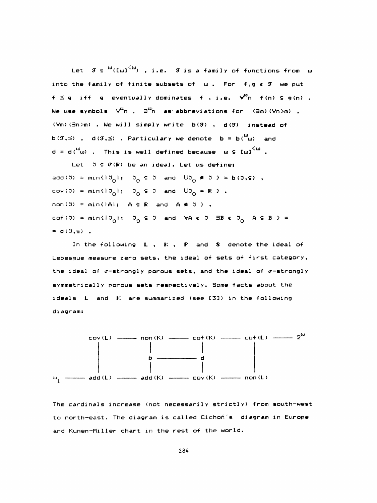Let  $\mathfrak{F} \in {^{\omega}(\mathfrak{L} \omega)}^{\langle \omega \rangle}$  , i.e.  $\mathfrak{F}$  is a family of functions from  $\omega$ into the family of finite subsets of w. For f,g & F we put  $f \le g$  iff g eventually dominates f, i.e.  $\sqrt{\alpha}$  f(n)  $\epsilon$  g(n). We use symbols  $\forall^{cc}$ n,  $\exists^{cc}$ n as abbreviations for  $(\exists m)(\forall n > m)$ , (Vm)(3n)m) . We will simply write b(F), d(F) instead of  $b(G, \leq)$ ,  $d(G, \leq)$ . Particulary we denote  $b = b(\omega)$  and  $d = d \binom{\omega}{\omega}$  . This is well defined because  $\omega \in \text{[}\omega\text{]}^{<\omega}$  .

Let  $J \subseteq \vartheta(k)$  be an ideal. Let us define: add(3) = min(13<sub>0</sub>1; 3<sub>0</sub>  $\in$  3 and U3<sub>0</sub>  $\in$  3  $\in$  b(3, $\in$ ),  $cov(3) = min(13<sub>0</sub>)$ ;  $3<sub>0</sub> \le 3$  and  $U3<sub>0</sub> = R$  ). non(3) = min{|A|;  $A \subseteq R$  and  $A \notin 3$ }, cof(3) = min(13<sub>0</sub>);  $\mathfrak{I}_0 \subseteq \mathfrak{I}$  and  $\forall A \in \mathfrak{I}$   $\exists B \in \mathfrak{I}_0$   $A \subseteq B$   $\Rightarrow$  $= d(0, \epsilon)$ .

In the following  $L$ ,  $K$ ,  $F$  and  $S$  denote the ideal of Lebesgue measure zero sets, the ideal of sets of first category, the ideal of  $\sigma$ -strongly porous sets, and the ideal of  $\sigma$ -strongly symmetrically porous sets respectively. Some facts about the ideals L and K are summarized (see [3]) in the following diagram:



The cardinals increase (not necessarily strictly) from south-west to north-east. The diagram is called Cichoń's diagram in Europe and Kunen-Miller chart in the rest of the world.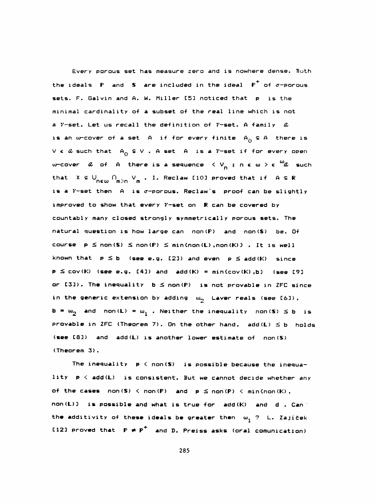Every porous set has measure zero and is nowhere dense. Both the ideals  $\mathbf F$  and  $\mathbf S$  are included in the ideal  $\mathbf F^+$  of  $\sigma$ -porous sets. F. Galvin and A. W. Miller [5] noticed that p is the minimal cardinality of a subset of the real line which is not a  $\gamma$ -set. Let us recall the definition of  $\gamma$ -set. A family  $\alpha$ is an w-cover of a set A if for every finite  $A^{\dagger}_{0} \in A$  there is  $V \in \emptyset$  such that  $A^o$   $\subseteq V$  . A set A is a  $\emptyset$ -set if for every open w-cover  $\alpha$  of A there is a sequence  $\langle V_n : n \in \omega \rangle \in {}^{\omega}\hspace{-1pt} \alpha$  such that  $X \subseteq \bigcup_{n \in \omega} \bigcap_{m \geq n} V_m$ . I. Reclaw [10] proved that if  $A \subseteq \mathbb{R}$ is a  $\gamma$ -set then A is c-porous. Reclaw's proof can be slightly improved to show that every  $\gamma$ -set on R can be covered by countably many closed strongly symmetrically porous sets. The natural question is how large can non(P) and non(S) be. Of course  $p \leq non(S) \leq non(P) \leq min \{ non(l), non(K) \}$ . It is well known that  $p \leq b$  (see e.g. [2]) and even  $p \leq$  add (K) since  $p \leq cov(K)$  (see e.g. [4]) and add  $(K) = min(cov(K), b)$  (see [9] or  $[3]$ ). The inequality  $b \leq non(P)$  is not provable in ZFC since in the generic extension by adding  $\omega_2$  Laver reals (see [6]),  $b = \omega_2$  and non(L) =  $\omega_1$  . Neither the inequality non(S)  $\leq b$  is provable in ZFC (Theorem 7). On the other hand,  $add(L) \leq b$  holds (see C83) and add(L) is another lower estimate of non(S) (Theorem 3) .

The inequality  $p \leq n$ on(S) is possible because the inequa lity p < add(L) is consistent. But we cannot decide whether any of the cases  $non(S) < non(P)$  and  $p \leq non(P) < min{ (non(K),$  non(L)} is possible and what is true for add (K) and d . Can the additivity of these ideals be greater then  $\omega_1$  ? L. Zajíček C123 proved that  $P \neq P^+$  and D. Preiss asks (oral comunication)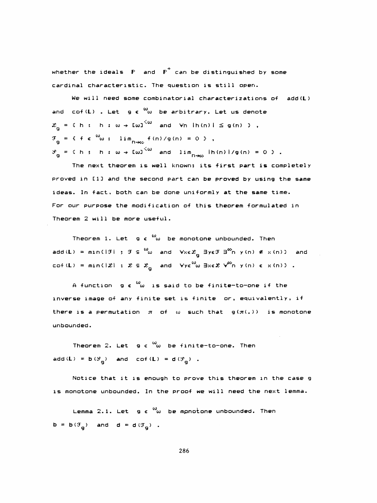whether the ideals  $F$  and  $F^+$  can be distinguished by some cardinal characteristic. The question is still open.

We will need some combinatorial characterizations of add (L) and cof(L) . Let g  $\epsilon$   $\omega$  be arbitrary. Let us denote  $\mathbf{q} = \mathbf{f} \mathbf{h}$  ;  $\mathbf{h} : \omega \rightarrow \mathbf{I} \omega \mathbf{I}^{\mathbf{Q} \omega}$  and  $\mathbf{v} \mathbf{n}$   $\mathbf{h} \mathbf{f} \mathbf{n}$ ) is  $\mathbf{g} \mathbf{f} \mathbf{n}$ ) 3,  $\mathfrak{F}_{\alpha} = \{ \begin{array}{ccc} \mathfrak{f} & \mathfrak{e} & \text{``} \omega \text{ ; } & \lim_{n \to \infty} \mathfrak{f} \text{ (n) / g (n) = 0 } \end{array} \},$ g<br>g = { f ∈ <sup>co</sup>w ; lim<sub>n→cc</sub><br>c  $\mathcal{S}_{_{\mathbf{G}}}$  = { h ; h :  $\omega$   $\rightarrow$  [ $\omega$ ]  $^{<\omega}$  and lim  $_{\Gamma\rightarrow\infty}$  [h(n)]/g(n) = 0 } .  $\frac{1}{9}$  = { f e  $\omega$ ; lim<sub>n+co</sub> f(n)/g(n) = 0<br>g = { h ; h :  $\omega \rightarrow$  [w]<sup>(w</sup> and lim<sub>n+co</sub><br>The next theorem is well known: i

 The next theorem is well known; its first part is completely proved in CI 3 and the second part can be proved by using the same ideas. In fact, both can be done uniformly at the same time. For our purpose the modification of this theorem formulated in Theorem 2 will be more useful.

Theorem 1. Let  $g \in \omega$  be monotone unbounded. Then add(L) = min(|J| ; J  $\subseteq$   $\overset{\textsf{\tiny{(O)}}}{\bullet}$  and  $\forall x \in \mathcal{X}_\mathbf{g}$   $\exists y \in \mathcal{F}$   $\exists^\textsf{\tiny{(C)}}$ n y(n)  $\notin$  x(n)} and cof(L) = min( $\mathcal{L}$ ) :  $\mathcal{L} \subseteq \mathcal{L}$  and  $\forall$ y $\epsilon^{\omega}$ w 3xe $\mathcal{L}$   $\forall^{\omega}$ n y(n)  $\epsilon$  x(n)3 .

A function  $g \in \omega$  is said to be finite-to-one if the inverse image of any finite set is finite or, equivalently, if there is a permutation  $\pi$  of  $\omega$  such that  $g(\pi(.))$  is monotone unbounded .

Theorem 2. Let  $g \in \omega$  be finite-to-one. Then add  $(\mathbf{L}) = \mathbf{b} \left( \mathcal{S}_{\mathbf{p}} \right)$  and cof  $(\mathbf{L}) = \mathbf{d} \left( \mathcal{S}_{\mathbf{p}} \right)$  . 2. Let  $g \in \omega_0$  be fi<br>g) and cof(L) = d( $\mathcal{G}_g$ 

 Notice that it is enough to prove this theorem in the case g is monotone unbounded. In the proof we will need the next lemma.

Lemma 2.1. Let  $g \in \omega$  be mpnotone unbounded. Then  $\mathbf{b} = \mathbf{b}(\mathfrak{T}_{\mathbf{a}})$  and  $\mathbf{d} = \mathbf{d}(\mathfrak{T}_{\mathbf{a}})$  . mma 2.1. Let <mark>g c</mark><br><sub>g</sub>) and d = d(F<sub>g</sub>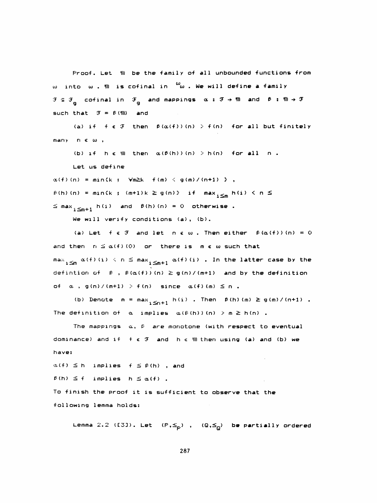Proof. Let  $m$  be the family of all unbounded functions from  $\omega$  into  $\omega$ .  $m$  is cofinal in  $\omega$ . We will define a family  $F \subseteq \mathcal{F}$  cofinal in  $\mathcal{F}$  and mappings  $\alpha : \mathcal{F} \rightarrow \mathfrak{M}$  and  $\beta : \mathfrak{M} \rightarrow \mathcal{F}$ such that  $\mathfrak{F} = \mathfrak{B}(\mathfrak{M})$  and

(a) if f e  $F$  then  $\beta(\alpha(f))(n) > f(n)$  for all but finitely  $many \t n \t w,$ 

(b) if  $h \in \mathfrak{M}$  then  $\alpha(\beta(h))$  (n) > h(n) for all n. Let us define

 $\alpha(f)(n) = min(k ; \forall m \ge k - f(m) \le g(m) / (n+1)$  },  $\hat{P}(h)(n) = min(k ; (m+1)k \ge g(n))$  if  $max_{i \le m} h(i) \le n \le$  $\leq$  max<sub>1</sub><<sub>m+1</sub> h(i) and  $\beta$ (h)(n) = 0 otherwise.

We will verify conditions (a), (b).

(a) Let  $f \in \mathcal{F}$  and let  $n \in \omega$ . Then either  $\beta(\alpha(f))$  (n) = 0 and then  $r_i \leq \alpha(f)(0)$  or there is  $m \in \omega$  such that max  $\lim_{n\leq n} \alpha(f)(i) < n \leq \max_{i\leq m+1} \alpha(f)(i)$ . In the latter case by the defintion of  $\beta$ ,  $\beta(\alpha(f))(n) \geq g(n)/(m+1)$  and by the definition of  $\alpha$ , g(n)/(m+1) > f(n) since  $\alpha(f)(m) \le n$ .

(b) Denote  $m = max_{i \le n+1} h(i)$ . Then  $\beta(h)(m) \ge g(m)/(n+1)$ . The definition of  $\alpha$  implies  $\alpha(\beta(h))$  (n)  $\geq m \geq h(n)$ .

The mappings  $\alpha$ ,  $\beta$  are monotone (with respect to eventual dominance) and if  $f \in \mathcal{F}$  and  $h \in \mathfrak{M}$  then using (a) and (b) we have:

 $\alpha(f) \leq h$  implies  $f \leq \beta(h)$ , and  $f(h) \le f$  implies  $h \le \alpha(f)$ . To finish the proof it is sufficient to observe that the following lemma holds:

Lemma 2.2 ([3]). Let  $(P, \leq_p)$  ,  $(Q, \leq_Q)$  be partially ordered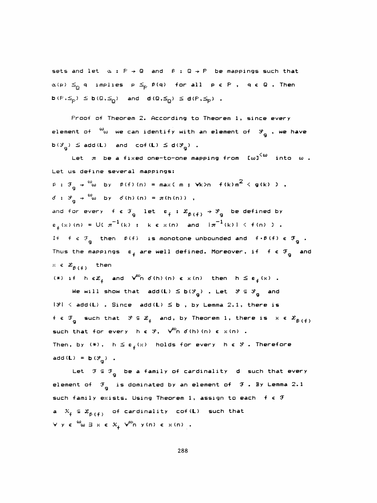sets and let  $\alpha : F \rightarrow \mathbb{Q}$  and  $\beta : \mathbb{Q} \rightarrow P$  be mappings such that  $\alpha(p) \leq_{\overline{p}} q$  implies  $p \leq_{\overline{p}} \beta(q)$  for all  $p \in P$ ,  $q \in \mathbb{Q}$ . Then  $\mathsf{b}(\mathsf{P},\leq_\mathsf{P}) \leq \mathsf{b}(\mathsf{Q},\leq_\mathsf{Q})$  and  $\mathsf{d}(\mathsf{Q},\leq_\mathsf{Q}) \leq \mathsf{d}(\mathsf{P},\leq_\mathsf{P})$ .

 Proof of Theorem 2- According to Theorem 1, since every element of  $\ ^\omega \omega$  we can identify with an element of  $\ ^\circ \mathrm{g}$  , we have  $b(\mathcal{F}_n) \leq add(L)$  and  $cof(L) \leq d(\mathcal{F}_n)$ . Froof of Theorem 2. According<br>ment of  $\omega_{\omega}$  we can identify wi<br>g)  $\leq$  add(L) and cof(L)  $\leq$  d( $\mathcal{G}_{g}$ <br>Let  $\pi$  be a fixed one-to-one

Let  $\pi$  be a fixed one-to-one mapping from  ${\text{U}}\omega^{\text{C}\omega}$  into  $\omega$  . Let us define several mappings:  $\beta$  :  $\mathcal{F}_{\mathbf{g}} \rightarrow \frac{\omega_{\mathbf{\omega}}}{\omega}$  by  $\beta(f)(n) = \max(m; \forall k \geq n - f(k)m^2 \leq g(k) )$  ,  $\sigma$  :  $\chi^2 = \chi^2 = 0$  by  $\sigma(h)$  (n) =  $\pi(h)$  (n ) and for every f  $\epsilon$   $\mathcal{F}_q$  let  $\varepsilon_f : \mathcal{L}_{\beta(f)} \rightarrow \mathcal{S}_q$  be defined by  $\varepsilon^{(x)}(x)$  (n) = U(  $\pi^{-1}(k)$  ; k  $\varepsilon$  x (n) and  $|\pi^{-1}(k)| < f(n)$  ). Thus the mappings  $\varepsilon_{\downarrow}$  are well defined. Moreover, if  $f \in \mathcal{F}$  and If  $f \in \mathcal{F}_n$  then  $\beta(f)$  is monotone unbounded and  $f \cdot \beta(f) \in \mathcal{F}$ Fine several mappings:<br>
w<sub>w</sub> by  $\beta(f)(n) = \max(m; y + k) n + f(k)n^2 \le g(k)$  ),<br>
w<sub>w</sub> by  $d(h)(n) = \pi(h(n))$ ,<br>
very  $f \in \mathcal{F}_g$  let  $\epsilon_f : \mathcal{L}_{\beta(f)} \rightarrow \mathcal{L}_g$  be defined by<br>  $= U(\pi^{-1}(k); k \in \mathcal{K}(n)$  and  $|\pi^{-1}(k)| \le f(n)$  ).<br>
g then  $\beta(f)$  is monot  $f(x) = \frac{1}{2} \int_{0}^{2\pi} f(x) \, dx$ <br>  $f(x) = \frac{1}{2} \int_{0}^{2\pi} f(x) \, dx$ <br>  $f(x) = \frac{1}{2} \int_{0}^{2\pi} f(x) \, dx$ <br>  $f(x) = \frac{1}{2} \int_{0}^{2\pi} f(x) \, dx$ <br>  $f(x) = \frac{1}{2} \int_{0}^{2\pi} f(x) \, dx$ <br>  $f(x) = \frac{1}{2} \int_{0}^{2\pi} f(x) \, dx$ <br>  $f(x) = \frac{1}{2} \int_{0}^{2\pi} f(x) \, dx$ <br>  $f(x)$  $x \in \mathcal{Z}_{\beta_1(4)}$  then

(\*) if 
$$
h \in \mathcal{Z}_f
$$
 and  $\forall^m n \ d(h) (n) \in x(n)$  then  $h \leq \epsilon_f(x)$ .

We will show that  $\texttt{add}(\mathsf{L}) \leq \texttt{b}(\mathscr{S}_n)$  . Let  $\mathscr{S} \subseteq \mathscr{S}_n$  and n) then  $h \le \epsilon_f$ <br>g). Let  $\mathcal{S} \subseteq \mathcal{S}_g$ <br>without 2.1 then  $|\mathcal{S}| \leq$  add(L) . Since add(L)  $\leq$  b, by Lemma 2.1, there is  $f \in \mathcal{F}_{\alpha}$  such that  $\mathcal{F} \subseteq \mathcal{Z}_{\beta}$  and, by Theorem 1, there is  $x \in \mathcal{Z}_{\beta}$   $(f)$ such that for every h  $\epsilon$   $\mathcal{S}$ ,  $\forall^{\infty}$ n  $\delta$  (h) (n)  $\epsilon$  x(n) . Then, by  $(*)$ ,  $h \leq \varepsilon_f(x)$  holds for every  $h \in \mathcal{S}$ . Therefore add  $(L) = b (f_g)$ .

Let  $\mathfrak{F}\subseteq \mathfrak{F}_{_{\bf g}}$  be a family of cardinality  $\,$  d  $\,$  such that every element of  $\mathbb{F}_{_{\bf Q}}$  is dominated by an element of  $\mathbb {J}$  . By Lemma 2.1 such family exists. Using Theorem 1, assign to each  $f \in \mathcal{F}$ a  $\mathcal{K}_{f} \subseteq \mathcal{Z}_{\beta(f)}$  of cardinality cof(L) such that  $\forall y \in \omega \text{ and } x \in \mathcal{K}_+$   $\forall^{\infty}$ n y (n)  $\in x$  (n) .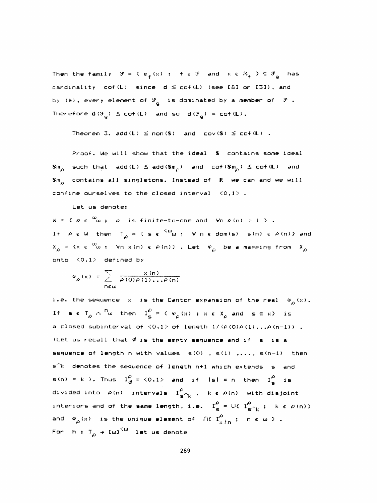Then the family  $\mathcal{S} = \{ \varepsilon_f(x) : f \in \mathcal{T} \text{ and } x \in \mathcal{K}_f \} \subseteq \mathcal{S}_g$  has cardinality  $cof(L)$  since  $d \leq cof(L)$  (see [8] or [3]), and by (\*), every element of  $\mathcal{S}_{\mathbf{g}}$  is dominated by a member of  $\mathcal{S}$  . Therefore  $d(G_{\alpha}) \leq cot(L)$  and so  $d(G_{\alpha}) = cot(L)$ . cof(L) since  $d \leq cof(L)$ <br>element of  $\mathcal{S}_g$  is domina<br>g)  $\leq cof(L)$  and so  $d(\mathcal{F}_g)$ 

Theorem 3. add(L)  $\leq$  non(S) and cov(S)  $\leq$  cof(L) .

 Proof. We will show that the ideal S contains some ideal Sm<sub>o</sub> such that add(L)  $\leq$  add(Sm<sub>c</sub>) and cof(Sm<sub>c</sub>)  $\leq$  cof(L) and Theorem 3. add(L)  $\leq$  non(S)<br>Proof. We will show that th<br> $\rho$  such that add(L)  $\leq$  add(Sm<sub>p</sub><br>contains all singletons. In S $_{\rho}$  contains all singletons. Instead of  $\,$   $\,$  We can and we will  $\,$ confine ourselves to the closed interval  $\langle 0,1 \rangle$ .

## Let us denotes

 $W = \langle P e^{-\omega} \omega, \phi \rangle$  is finite-to-one and  $\forall n | P(n) \rangle \ge 1/3$ . If  $\rho$  e W then T  $_{\rho}$  = (se  $^{<\omega}$  ;  $\forall$  n  $\epsilon$  dom(s) s(n)  $\epsilon$   $\ell$ (n)) and  $X_{\rho}$  = { $x \in \omega_0$  ;  $\forall n \times (n) \in \rho(n)$  }. Let  $\psi_{\rho}$  be a mapping from  $X_{\rho}$ onto  $\langle 0,1 \rangle$  defined by

$$
\varphi_{\rho}(x) = \sum_{n \in \omega} \frac{x(n)}{\rho(0)\rho(1)\dots\rho(n)}
$$

i.e. the sequence  $x$  is the Cantor expansion of the real  $\psi_{\alpha}(x)$ . i.e. the sequence  $x$  is the Cantor expansion of the real  $\psi$ <br>If  $\mathbf{s} \in T_{\rho} \cap \mathbb{S}^{\mathbb{N}}$  then  $I_{\mathbf{s}}^{\rho} = \{ \psi_{\rho}(\mathbf{x}) \mid \mathbf{x} \in X_{\rho} \text{ and } \mathbf{s} \in \mathbf{x} \}$  is a closed subinterval of  $\langle 0,1\rangle$  of length  $1/(\rho(0)\rho(1) \ldots \rho(n-1))$  . (Let us recall that  $\emptyset$  is the empty sequence and if s is a sequence of length n with values  $s(0)$  ,  $s(1)$  ,...,  $s(n-1)$  then  $s^k$  denotes the sequence of length n+1 which extends s and  $s(n) = k$ ). Thus  $I^{\Omega}_{\emptyset} = \langle 0,1 \rangle$  and if  $|s| = n$  then  $I^{\Omega}_{\emptyset}$  is divided into  $\mathcal{L}(\mathsf{n})$  intervals  $\mathbf{I}^{\mathcal{L}}_{\mathbf{S}^{\mathcal{L}}|\mathsf{K}}$  ,  $\mathsf{k} \in \mathcal{L}(\mathsf{n})$  with disjoint interiors and of the same length, i.e.  $I_S^{\beta} = U_C I_{S \cap K}^{\beta}$ ; k  $\epsilon \varphi(n)$  }<br>and  $\varphi_{\rho}(x)$  is the unique element of fK  $I_{x \nmid n}^{\beta}$ ; n  $\epsilon \omega$  }. and  $\begin{array}{cc} \phi_{\rho}(\times) & \hbox{is the unique element} \end{array}$ For h : T $_{\rho}$   $\to$  [w] $^{<\omega}$  let us denote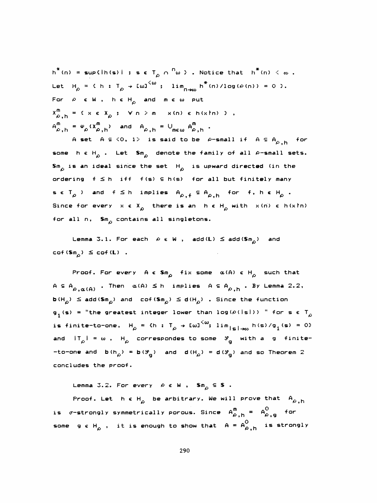$h^*(n) = \sup\{h(s) | s \in T_{\rho} \cap \frac{n}{n} \}$ . Notice that  $h^*(n) < \infty$ . Let  $H_{\rho} = \langle h : T_{\rho} \rightarrow \text{[m]}^{\langle \omega \rangle} ; \text{lim}_{n \rightarrow \infty} h^*(n) / \text{log}(\rho(n)) = 0 \rangle.$ For  $\rho \in W$ ,  $h \in H_{\rho}$  and  $m \in \omega$  put  $X_{\rho,h}^{m} = \{ x \in X_{\rho} : \forall n \ge m \times (n) \in h(x \nmid n) \}$ ,  $A_{\rho,h}^m = \varphi_\rho(X_{\rho,h}^m)$  and  $A_{\rho,h} = \bigcup_{m \in \omega} A_{\rho,h}^m$ .

A set  $A \subseteq \langle 0, 1 \rangle$  is said to be  $\rho$ -small if  $A \subseteq A_{\rho,h}$  for some h  $\epsilon$  H<sub>p</sub> . Let Sm<sub>p</sub> denote the family of all  $\rho$ -small sets. Sm<sub>c</sub> is an ideal since the set  $H_{\rho}$  is upward directed (in the ordering  $f \leq h$  iff  $f(s) \leq h(s)$  for all but finitely many  $s \in T_{\rho}$  ) and  $f \leq h$  implies  $A_{\rho, f} \subseteq A_{\rho, h}$  for f,  $h \in H_{\rho}$ . Since for every  $x \in X_{\alpha}$  there is an  $h \in H_{\alpha}$  with  $x(n) \in h(x \nmid n)$ for all n,  $\sin_{\rho}$  contains all singletons.

Lemma 3.1. For each  $\rho \in W$ , add(L)  $\leq$  add(Sm<sub>n</sub>) and  $cof(Sm_{\alpha}) \leq cof(L)$ .

Proof. For every  $A \in \mathbb{S}m_{\Omega}$  fix some  $\alpha(A) \in H_{\Omega}$  such that  $A \subseteq A_{\rho,\alpha(A)}$ . Then  $\alpha(A) \leq h$  implies  $A \subseteq A_{\rho,h}$ . By Lemma 2.2,  $b(H_{\rho}) \leq add(Sm_{\rho})$  and cof(Sm<sub>p</sub>)  $\leq d(H_{\rho})$  . Since the function  $g_1(s)$  = "the greatest integer lower than log( $\rho$ (|s|)) " for s  $\epsilon$  T<sub>o</sub> is finite-to-one,  $H_{\rho} = \langle h : T_{\rho} \rightarrow \text{[m]}^{\leq \omega} \text{[in]}_{|S| \rightarrow \infty} h(s) / g_1(s) = 0 \rangle$ and  $|T_{\alpha}| = \omega$ ,  $H_{\alpha}$  correspondes to some  $\mathcal{F}_{\alpha}$  with a g finite--to-one and  $b(h_{\rho}) = b(\mathcal{S}_{\rho})$  and  $d(H_{\rho}) = d(\mathcal{S}_{\rho})$  and so Theorem 2 concludes the proof.

Lemma 3.2. For every  $\rho \in W$  ,  $\mathsf{Sm}_\Omega \subseteq \mathsf{S}$  .

Proof. Let  $h \in H_{\alpha}$  be arbitrary. We will prove that  $A_{\alpha,h}$ is  $\sigma$ -strongly symmetrically porous. Since  $A_{\rho,+}^{m} = A_{\rho,+}^{O}$  for some geH<sub>o</sub>, it is enough to show that  $A = A_{\rho,h}^O$  is strongly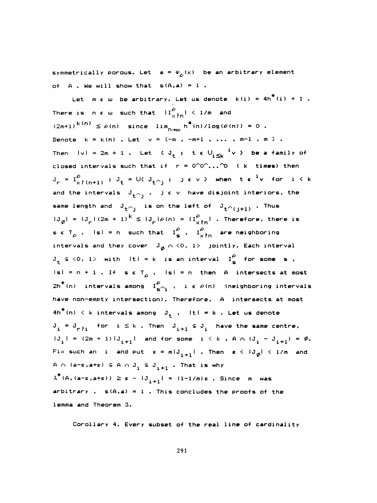symmetrically porous. Let  $a = \varphi_{\alpha}(x)$  be an arbitrary element of A. We will show that  $s(A,a) = 1$ .

Let  $m \in \omega$  be arbitrary. Let us denote  $k(i) = 4h^{\frac{4}{3}}(i) + 1$  . There is new such that  $\|\mathbf{I}^{\rho}_{\mathbf{y}+\mathbf{n}}\| < 1/m$  and  $(2\mathsf{m}{+1})^{\mathrm{K}\,(\mathsf{D})} \leq \varrho\,(\mathsf{n})$  since  $\lim_{\mathsf{D}\to\infty} \mathsf{h}^{\overline{\bullet}}(\mathsf{n})/\log\,(\varrho\,(\mathsf{n})) = 0$  . Denote  $k = k(n)$ . Let  $v = (-m, -m+1, \ldots, m-1, m)$ . Then  $|v| = 2m + 1$ . Let  $\left\{ J_{t} \right\}$ , te  $U_{i \leq k}$   $\frac{i}{v}$   $\vee$  be a family of closed intervals such that if  $r = 0^{\circ}0^{\circ}...$  ( k times) then  $J_r = I_{x}^0$   $(n+1)$  ;  $J_t = U$   $U_{t \cap j}$  ; jev > when te  $i v$  for  $i \leq k$ and the intervals  $J_{\mathbf{t}^{(n)}j}$  ,  $j \in \vee$  have disjoint interiors, the same length and  $J_{+\cap j}$  is on the left of  $J_{+\cap (j + 1)}$  . Thus  $|J_{\emptyset}| = |J_{r}| (2m + 1)^{k} \leq |J_{r}| \rho(n) = |I_{x+n}^{\rho}|$  . Therefore, there is s  $\epsilon$  T<sub>c</sub>, isl = n such that  $I^{\alpha}_{s}$ ,  $I^{\alpha}_{xh}$  are neighboring intervals and they cover  $\| \mathbb{J}_{\vec{\phi}} \| \cap \langle 0, \|^1 \rangle$  jointly. Each interval  $J_t \subseteq \{0, 1\}$  with  $|t| = k$  is an interval  $I_S^0$  for some s, ame length and  $J_{t \cap j}$  is on the left of  $J_{t \cap j}$ <br>  $J_{\emptyset}$  =  $J_{\emptyset} / (2m + 1)^k \leq J_{\emptyset} / \rho(n) = |I_{\emptyset}^{\emptyset} |$ . The<br>  $\epsilon T_{\emptyset}$ ,  $|s| = n$  such that  $I_{\emptyset}^{\emptyset}$ ,  $I_{\emptyset}^{\emptyset} h$  are<br>
intervals and they cover  $J_{\emptyset} \cap \{0,$  $|s| = n + 1$ . If  $s \in T^{\alpha}_{\alpha}$ ,  $|s| = n$  then A intersects at most 2h<sup>\*</sup>(n) intervals among  $\begin{bmatrix} 1 & b & c \ c & 1 & d \end{bmatrix}$  i e  $\rho$ (n) (neighboring intervals have non-empty intersection) . Therefore, A intersects at most 4h $^\pi$ (n) < k intervals among  $\mathbf{J_t}$  ,  $\mathbf{H} \mathbf{l} = \mathbf{k}$  . Let us denote  $J_i = J_{r+i}$  for  $i \leq k$  . Then  $J_{i+1} \subseteq J_i$  have the same centre,  $i = J_{r}i$  for  $i \le k$ . Then  $J_{i+1} \subseteq J_i$  $J_i = J_{r \nmid i}$  for  $i \le k$ . Then  $J_{i+1} \subseteq J_i$  have the same centre,<br>  $|J_i| = (2m + 1) |J_{i+1}|$  and for some  $i \le k$ , A  $\cap (J_i - J_{i+1}) = \emptyset$ .<br>  $\exists i \le n \text{ such an } i$  and put  $s = n! \cdot 1$ . Then  $s \le |J| \le 1/m$  and Fix such an i and put  $\varepsilon = m|J_{i+1}|$  . Then  $\varepsilon < |J_{\phi}| < 1/m$  and A  $\cap$  (a-e,a+e)  $\subseteq$  A  $\cap$  J<sub>i</sub>  $\subseteq$  J<sub>i+1</sub>. That is why  $\lambda^{\texttt{\#}}$ (A,(a-e,a+e))  $\geq$  e –  $|\texttt{J}_{i+1}^+|$  = (1-1/m)e . Since  $\,$  m  $\,$  was arbitrary ,  $s(A, a) = 1$  . This concludes the proofs of the lemma and Theorem 3.

Corollary 4. Every subset of the real line of cardinality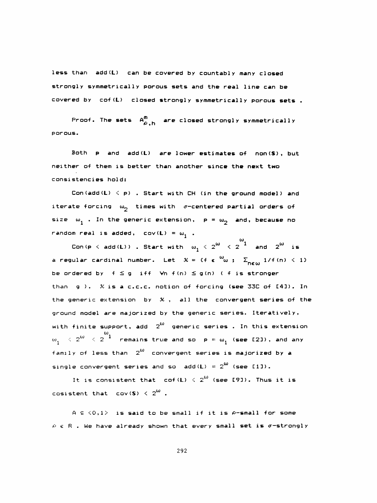less than add(L) can be covered by countably many closed strongly symmetrically porous sets and the real line can be covered by cof (L) closed strongly symmetrically porous sets.

Proof. The sets  $A_{\omega,h}^{m}$  are closed strongly symmetrically porous.

 Both p and add(L) are lower estimates of non(S), but neither of them is better than another since the next two consistencies hold:

Con(add(L)  $\leq$  p) . Start with CH (in the ground model) and iterate forcing  $\omega_{p}$  times with  $\sigma$ -centered partial orders of size  $\omega_1$  . In the generic extension,  $p = \omega_2$  and, because no random real is added,  $cov(L) = \omega_1$ .

Con(p  $\langle$  add(L)) . Start with  $\omega_{\bf 1}^{\phantom{\pm}} \leqslant 2^\omega \phantom{\Big|} \leqslant 2^{-1}$  . a regular cardinal number. Let  $\mathcal{K} =$  {f  $\epsilon$   $\overset{\omega}{\omega}$  ;  $\quad \Sigma_{\sf new}$  1/f(n) < 1} be ordered by  $f \leq g$  iff  $\forall n \ f(n) \leq g(n)$  (f is stronger than g ). X is a c.c.c. notion of forcing (see 33C of [4]). In the generic extension by  $\mathcal{K}$ , all the convergent series of the ground model are majorized by the generic series. Iterati vely, with finite support, add  $2^{\omega}$  generic series . In this extension to  $\sim 2^{10}$   $<$  2  $^{\ast}$  remains true and so  $\,$  p ==  $\omega_{\bf 1}^{}$  (see [2]), and any family of less than  $2^\omega$  convergent series is majorized by a single convergent <mark>series</mark> and so  $\operatorname{\mathsf {add}}\nolimits(\mathsf{L}) = 2^\mathsf{W}$  (see [1]).

It is consistent that cof(L)  $\langle$  2 $^{\omega}$  (see [9]). Thus it is cosistent that  $cov(S) < 2^{\omega}$ .

A  $\in$   $\langle 0,1 \rangle$  is said to be small if it is  $\rho$ -small for some  $\rho$   $\epsilon$  R . We have already shown that every small set is  $\sigma$ -strongly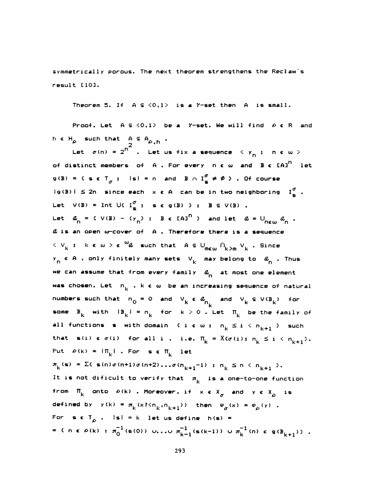symmetrically porous. The next theorem strengthens the Reclaw's result CIO].

Theorem 5. If  $A \subseteq \langle 0,1 \rangle$  is a  $\gamma$ -set then  $A$  is small.

Proof. Let  $A \subseteq \langle 0,1 \rangle$  be a  $Y$ -set. We will find  $A \in \mathbb{R}$  and  $h \in H_{\rho}$  such that  $A \subseteq A_{\rho, h}$ .<br> $h^{2}$ 

Let  $\sigma$ (n) =  $2^\mathsf{T}$  . Let us fix a sequence  $\langle$   $\mathsf{y}_\mathsf{p}$  ;  $\mathsf{n}\,\, \epsilon$   $\omega$   $>$ of distinct members of A. For every  $n \in \omega$  and  $B \in {{[A]}^{n}}$  let g(B) = { s e T  $_{\sigma}$  ; |s| = n and B  $\cap$  I  $_{\bf g}^{\sigma}$   $\neq$  Ø  ${\bf \vartheta}$  . Of course = 2" . Let us fix a se<br>mbers of A . For every<br> $\sigma$  ; is! = n and B  $\cap$  I's<br>ince each x  $\epsilon$  A can be ig(B) i  $\leq$  2n since each  $x \in A$  can be in two neighboring  $I^{\sigma}_{\sigma}$ . Let  $V(B) = \text{Int } \bigcup \{ \begin{array}{ccc} I_{\mathbf{S}}^{\sigma} & ; & \mathbf{s} \in \mathbf{g}(B) \end{array} \}$ ;  $B \subseteq V(B)$ . Let  $a_{_{\mathbf{D}}}$  = {  $\vee$  (B) - {y  $_{\mathbf{D}}$  ; B  $\epsilon$  [A]<sup>n</sup> } and let  $a$  =  $\cup_{_{\mathbf{D}\in\mathbf{U}}_{\mathbf{D}}}a$ (B) = Int U(  $I_{\rm s}^{\sigma}$  ; seg(B) ); B  $\in$  V(B).<br>  $I_{\rm n}$  = { V(B) - { $\gamma_{\rm n}$ } ; B  $\in$  [A]<sup> $\Omega$ </sup> } and let  $\alpha$  = U<sub>new</sub>  $a_{\rm n}$  & is an open w-cover of A . Therefore there is a sequence  $<$   $\vee$   $_{\sf k}$  ; ke  $\omega$   $>$  e  $\rm ^{\omega}$  such that A  $\in$  U  $_{\sf m\in \omega}$   $\cap_{\sf k\geq \sf m}$   $\vee$   $_{\sf k}$  . Since k ; kew  $>$  e  $\omega$  such that  $A \subseteq \bigcup_{m\in\omega} \bigcap_{k\geq m} \vee_m$ we can assume that from every family  $\alpha_{_\mathrm{R}}^{\phantom{\dag}}$  at most one element  $y_n \in A$  , only finitely many sets  $V_k$  may belong to  $\alpha_n$  . Thus et  $a_n = c \vee (B) - c \vee_{n}$ ; Be [A]<sup>n</sup> } and let  $a = \cup_{n \in \mathbb{N}}$ <br>is an open w-cover of A. Therefore there is a seque<br> $\vee_k$ ; k e  $\omega > \epsilon$   $\omega a$  such that  $A \subseteq \bigcup_{m \in \omega} \bigcap_{k > m} \vee_k$ . Sin<br> $n \in A$ , only finitely many sets  $\vee_k$ was chosen. Let  $n_k$  , k  $\epsilon$  w be an increasing sequence of natural numbers such that  $n_0 = 0$  and  $V_k \in \alpha_{n_k}$  and  $V_k \subseteq V(B_k)$  for some  $B_K$  with  $\|B_K\| = n_K$  for  $k > 0$  . Let  $\Pi_K$  be the family of all functions s with domain {  $i \in \omega$  ;  $n_k \le i \le n_{k+1}$  } such that s(i)  $\epsilon \sigma(i)$  for all i, i.e.  $\Pi_k = X(\sigma(i); n_k \leq i \leq n_{k+1})$ . Put  $\rho(k) = |\Pi_k|$ . For se  $\Pi_k$  let  $\pi_{k}(\mathbf{s}) = \sum_{k=1}^{k} \mathbf{s}(n) \sigma(n+1) \sigma(n+2) \dots \sigma(n_{k+1}-1)$ ;  $n_{k} \leq n \leq n_{k+1}$ . It is not dificult to verify that  $\pi_{\mathsf{k}}^-$  is a one-to-one function from  $\Pi_{\mathbf k}$  onto  $\rho\left(\mathbf k\right)$  . Moreover, if  $\mathbf x\in\mathsf X_{\mathbf c}$  and  $\mathbf y\in\mathsf X_{\mathbf c}$  is Σ{ s(n)σ(n+1)σ(n+2)...σ(n<sub>k+1</sub>-1) ; n<br>ot dificult to verify that  $\pi_k$  is a<br>k onto  $\rho(k)$  . Moreover, if  $x \in X_{\sigma}$ <br>by  $y(k) = \pi_k (x! \le n_{k}, n_{k+1})$ ) then  $\varphi$ defined by  $y(k) = \pi_k (x \nmid \nmid k+1)$  then  $\varphi_{\sigma}(x) = \varphi_{\rho}(y)$  . For s  $\epsilon$  T<sub>o</sub> , I si = k let us define h (s) =  $f(x) = f(x) + \pi_0^{-1}(\mathfrak{s}(0))$  u. ..u  $\pi_{k-1}^{-1}(\mathfrak{s}(k-1))$  u  $\pi_k^{-1}(n) \in \mathfrak{g}(B_{k+1})$ .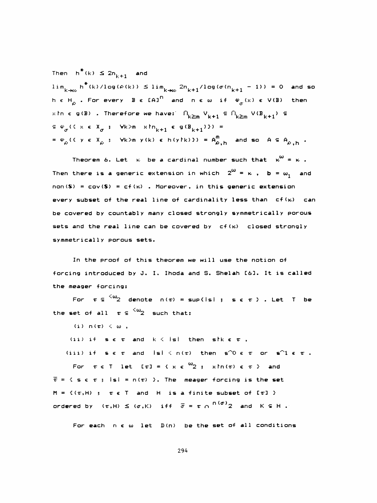Then  $h^*(k) \leq 2n_{k+1}$  and  $\lim_{k\to\infty} h^*(k) / \log(\varrho(k)) \leq \lim_{k\to\infty} 2n_{k+1} / \log(\sigma(n_{k+1} - 1)) = 0$  and so Then  $h^*(k) \le 2n_{k+1}$  and<br>  $\lim_{k \to \infty} h^*(k) / \log(\varphi(k)) \le \lim_{k \to \infty} 2n_{k+1} / \log(\sigma(n_{k+1} - 1)) = 0$  and<br>  $h \in H_\varphi$ . For every B  $\in$  [A]<sup>n</sup> and n  $\in \omega$  if  $\varphi_\sigma(x) \in V(\mathbb{B})$  then<br>  $x \ln \in g(\mathbb{B})$ . Therefore we have:  $\bigcap_{k \ge m} V_{k$ x  $\ln \epsilon$  g(B) . Therefore we have:  $\bigcap_{k \ge m} |V_{k+1}| \subseteq \bigcap_{k \ge m} |V(B_{k+1})| \subseteq$  $\epsilon \in \varphi_{\sigma}(\xi \times \epsilon X_{\sigma} ; \forall k>m \times ln_{k+1} \epsilon g(B_{k+1}) \xi) =$ =  $\varphi_{\rho}$  ({ y e X<sub>e</sub> ;  $\forall k > m$  y(k) e h(ytk)}) =  $A_{\rho,h}^{m}$  and so A  $\subseteq$  A<sub>e, h</sub> .

Theorem 6. Let  $\kappa$  be a cardinal number such that  $\kappa^{\omega}$  =  $\kappa$  . Then there is a generic extension in which  $2^{\omega} = \kappa$  ,  $b = \omega_1$  and  $non(S) = cov(S) = cf(k)$ . Moreover, in this generic extension every subset of the real line of cardinality less than  $cf(k)$  can be covered by countably many closed strongly symmetrically porous sets and the real line can be covered by  $cf(k)$  closed strongly symmetrically porous sets.

 In the proof of this theorem we will use the notion of forcing introduced by J. I. Ihoda and S. Shelah C63. It is called the meager forcing:

For  $\tau \in {}^{\langle \omega \rangle} 2$  denote  $n(\tau) = \sup\{|s| : s \in \tau \}$ . Let T be the set of all  $\tau \in {\omega_2 \over 2}$  such that:

(i)  $\mathsf{n}(\tau) < \omega$ ,

(ii) if  $\mathbf{s} \in \mathbf{r}$  and  $\mathbf{k} \leq |\mathbf{s}|$  then  $\mathbf{s} \mathbf{k} \in \mathbf{r}$ ,

(iii) if  $s \in \tau$  and  $|s| \leq n(\tau)$  then  $s^{\gamma}0 \in \tau$  or  $s^{\gamma}1 \in \tau$ . For  $\tau \in T$  let  $[\tau] = \{x \in \omega_2; x \text{ in } (\tau) \in \tau \}$  and  $\overline{\tau}$  = { s e  $\tau$  ; isi = n( $\tau$ ) }. The meager forcing is the set  $M = \{(\tau, H) : \tau \in T \text{ and } H \text{ is a finite subset of } [\tau] \}$ ordered by  $(\tau, H) \leq (\sigma, K)$  iff  $\bar{\sigma} = \tau \cap {n(\sigma)}_2$  and  $K \subseteq H$ .

For each  $n \in \omega$  let  $D(n)$  be the set of all conditions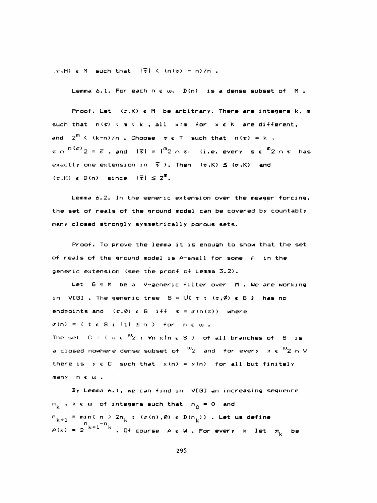$\langle r,H\rangle \in M$  such that  $\|\overline{r}\| \leq (n(r) - n)/n$ .

Lemma 6.1. For each  $n \in \omega$ ,  $D(n)$  is a dense subset of M.

Proof. Let  $(x, K)$   $\in$  M be arbitrary. There are integers k, m such that  $n(\tau) < m < k$ , all xim for  $x \in K$  are different, and  $2^{\overline{n}}$   $\langle$  (k-n)/n . Choose  $\tau$   $\epsilon$  T such that  $n(\tau)$  = k ,  $\tau \cap$   $(n(\sigma)$   $2 = \overline{\sigma}$ , and  $|\overline{\tau}| = |\overline{n_2} \cap \tau|$  (i.e. every se  $\overline{n_2} \cap \tau$  has exactly one extension in  $\bar{\tau}$  ). Then  $(\tau,K)$   $\leq$   $(\sigma,K)$  and  $(\tau, K) \in D(n)$  since  $|\overline{\tau}| \leq 2^m$ .

 Lemma 6.2. In the generic extension over the meager forcing, the set of reals of the ground model can be covered by countably many closed strongly symmetrically porous sets.

 Proof. To prove the lemma it is enough to show that the set of reals of the ground model is  $\rho$ -small for some  $\rho$  in the generic extension (see the proof of Lemma 3.2).

Let  $G \subseteq M$  be a V-generic filter over M . We are working in VIGI. The generic tree  $S = \bigcup \{ \tau : \tau(\phi) \in G \}$  has no endpoints and  $(\tau,\emptyset)$  e G iff  $\tau = \sigma(n(\tau))$  where  $\sigma(n) = 0$  t  $\epsilon$  3 ; it i  $\leq n$  } for new. The set  $C = \{x \in \mathbb{Q}_2 : \forall n \times n \in S \}$  of all branches of S is a closed nowhere dense subset of  $\frac{\omega_2}{2}$  and for every  $x \in \frac{\omega_2}{2} \cap V$ there is  $y \in C$  such that  $x(n) = y(n)$  for all but finitely many n € to .

 By Lemma 6. 1, we can find in VCG3 an increasing sequence  $n_{\nu}$  , k  $\varepsilon$  w of integers such that  $n_{\Omega} = 0$  and  $n_{k+1}$  = mini n > 2n<sub>k</sub>; ( $\sigma(n)$ , $\emptyset$ )  $\in$  D( $n_k$ )). Let us define  $\varphi \left( \mathsf{k} \right)$  = 2  $^{\mathsf{k+1} - \mathsf{k}}$  . Of course  $\varphi$   $\epsilon$  W . For every  $\mathsf{k}$  let  $\pi_{\mathsf{k}}$  be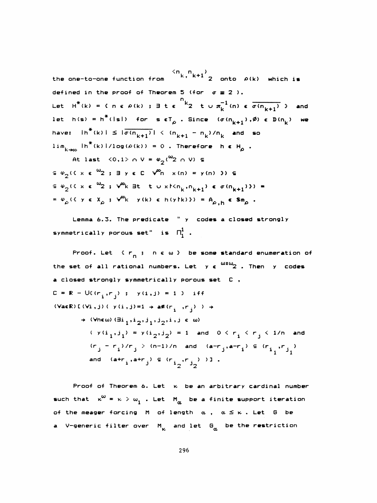the one-to-one function from  $\frac{2\pi}{k}$ ,  $\frac{n}{k+1}$   $\frac{1}{2}$  onto  $\rho(k)$  which is defined in the proof of Theorem 5 (for  $\sigma \equiv 2$ ). Let  $H^*(k) = C \cap \epsilon \rho(k)$ ;  $\exists t \epsilon \frac{n}{2}$  t  $\cup \pi_k^{-1}(n) \epsilon \overline{\sigma(n_{k+1})}$  and let h(s) =  $h^*(\text{lsl})$  for set<sub>o</sub>. Since  $(\sigma(n_{k+1}), \emptyset)$  e  $D(n_k)$  we have:  $|h^*(k)| \leq |\overline{\sigma(n_{k+1})}| < (n_{k+1} - n_k)/n_k$  and so  $\lim_{k \to \infty} \ln^*(k) 1/\log(\rho(k)) = 0$ . Therefore  $h \in H_{\rho}$ .

At last  $\langle 0,1 \rangle \cap V = \varphi_2(^{\omega_2} \cap V)$   $\in$  $\epsilon \circ \varphi_2$  (  $\xi \times \epsilon \circ \varphi_2$  ;  $\exists y \in C \quad \forall^m n \quad x(n) = y(n)$  ))  $\epsilon$  $\epsilon \varphi_2$ ( $\epsilon \times \epsilon$   $\omega_2$ ;  $\sqrt{\varphi_k}$  3t t u x  $(m_k, n_{k+1})$   $\epsilon$   $\sigma (n_{k+1})$ ) = =  $\varphi_{\rho}$  ({  $\gamma \in X_{\rho}$  ;  $\sqrt{\varphi_{k}}$   $\gamma(k) \in h(\gamma(k))$  =  $A_{\rho,h} \in Sm_{\rho}$ .

Lemma 6.3. The predicate " y codes a closed strongly symmetrically porous set" is  $\overline{\Pi}_{1}^{1}$  .

Proof. Let  $\{r_{n}\}$   $n \in \omega\}$  be some standard enumeration of the set of all rational numbers. Let  $y \in \frac{\omega x \omega}{2}$ . Then y codes a closed strongly symmetrically porous set C ,  $C = R - U((r_i, r_j) ; y(i, j) = 1 )$  iff (VaeR) [(Vi,j) (y(i,j)=1  $\rightarrow$  a#(r<sub>i</sub>,r<sub>j</sub>))  $\rightarrow$  $\rightarrow$  (Vnew)  $(\exists i_1, i_2, j_1, j_2, i_1) \in \omega$ )  $(y(i_1, j_1) = y(i_2, j_2) = 1$  and  $0 < r_i < r_j < 1/n$  and  $(r_j - r_i)/r_j > (n-1)/n$  and  $(ar_{j}, a-r_i) \in (r_{i,j}, r_{j,j})$ and  $(arr_i, arr_j) \in (r_{i_0}, r_{j_0})$ )].

Proof of Theorem 6. Let  $\kappa$  be an arbitrary cardinal number such that  $\kappa^{\omega} = \kappa > \omega_1$  . Let  $M_{\alpha}$  be a finite support iteration of the meager forcing M of length  $\alpha$ ,  $\alpha \leq \kappa$ . Let G be a V-generic filter over  $M_{K}$  and let  $G_{\alpha}$  be the restriction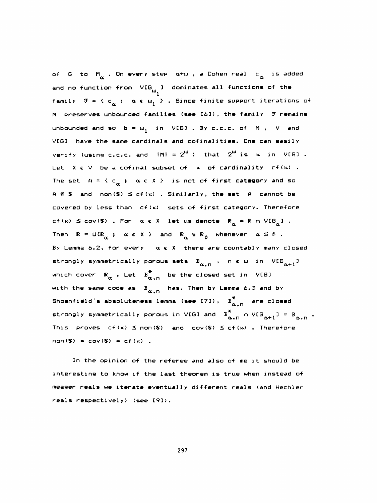of G to M . On every step  $\alpha + \omega$  , a Cohen real c is added and no function from  $\mathsf{VLG}_\mathsf{m}$  ] dominates all functions of the  $\alpha$  . On every step  $\alpha+\omega$  , a Cohen real c<sub> $\alpha$ </sub><br>ion from VIG<sub>w1</sub>] dominates all functions<br>{ c :  $\alpha$  f w } . Since finite support i  $\mathbf{u}$ family  $\mathfrak{F} = \{ \begin{array}{ccc} \mathfrak{c} & \mathfrak{c} & \mathfrak{c} \\ \alpha & \mathfrak{c} & \alpha_1 \end{array} \}$  . Since finite support iterations of M preserves unbounded families (see E6D), the family 7 remains unbounded and so  $b = \omega_1$  in VEGI. By c.c.c. of M, V and  $VIGJ$  have the same cardinals and cofinalities. One can easily verify (using c.c.c. and  $|M| = 2^{\omega}$ ) that  $2^{\omega}$  is  $\kappa$  in VIGJ. Let  $X \in V$  be a cofinal subset of  $\kappa$  of cardinality cf( $\kappa$ ). The set  $A = \langle c_\alpha : \alpha \in X \rangle$  is not of fi<mark>rst catego</mark>ry and so A  $\leq$  S and non(S)  $\leq$  cf(k). Similarly, the set A cannot be covered by less than  $cf(k)$  sets of first category. Therefore cf(x)  $\leq$  cov(\$) . For  $\alpha \in X$  let us denote  $\mathbb{R}_\alpha$  =  $\mathbb{R}$  n V[G<sub>a</sub>] . tegory. Ther<br>a = R n VIG<sub>a</sub>  $cf(k) \leq cov(S)$  . For  $\alpha \in X$  let us denote  $R_{\alpha} = R \cap V[G_{\alpha}]$ .<br>Then  $R = U(R_{\alpha} \ ; \ \alpha \in X \ )$  and  $R_{\alpha} \subseteq R_{\beta}$  whenever  $\alpha \leq \beta$ .<br>By lemma 6.2, for every  $\alpha \in X$  there are countably many By Lemma 6.2, for every  $\alpha \in X$  there are countably many closed strongly symmetrically porous sets  $B_{\alpha, n}$ , n c w in VIG $_{\alpha+1}$ ] which cover  $\mathbb{R}_{\alpha}$  . Let  $\overline{\mathtt{B}}_{\alpha,n}^*$  be the closed set in <code>VEG</code>] with the same code as  $B_{\alpha,n}$  has. Then by Lemma 6.3 and by Shoenfield´s absoluteness lemma (see [7]),  $B_{\alpha,n}^*$  are closed strongly symmetrically porous in VIG3 and  $B^*_{\alpha,n} \cap VIG_{\alpha+1}$ J =  $B_{\alpha,n}$ This proves  $cf(k) \leq non(S)$  and  $cov(S) \leq cf(k)$ . Therefore  $non(S) = cov(S) = cf(\kappa)$ .

In the opinion of the referee and also of me it should be interesting to know if the last theorem is true when instead of meager reals we iterate eventually different reals (and Hechler reals respectively) (see E93).